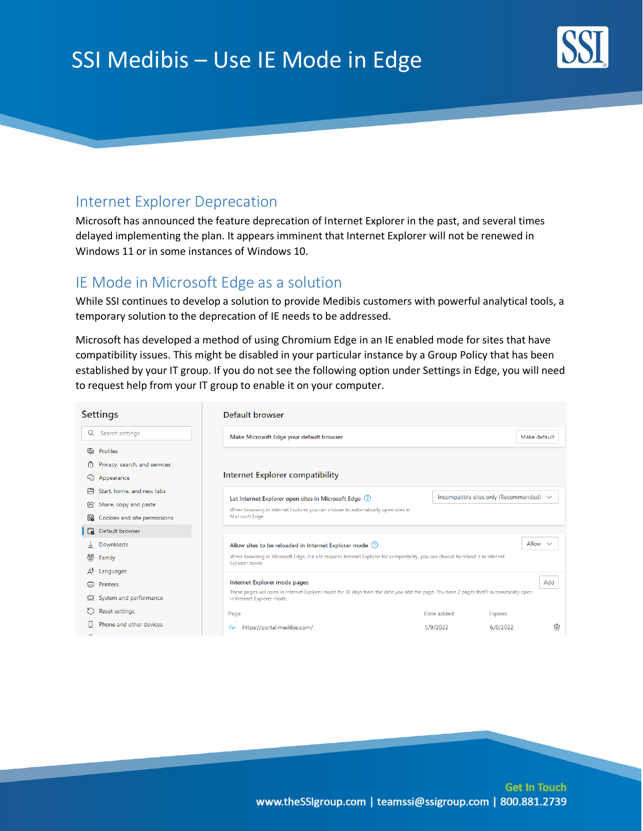# SSI Medibis – Use IE Mode in Edge



## Internet Explorer Deprecation

Microsoft has announced the feature deprecation of Internet Explorer in the past, and several times delayed implementing the plan. It appears imminent that Internet Explorer will not be renewed in Windows 11 or in some instances of Windows 10.

## IE Mode in Microsoft Edge as a solution

While SSI continues to develop a solution to provide Medibis customers with powerful analytical tools, a temporary solution to the deprecation of IE needs to be addressed.

Microsoft has developed a method of using Chromium Edge in an IE enabled mode for sites that have compatibility issues. This might be disabled in your particular instance by a Group Policy that has been established by your IT group. If you do not see the following option under Settings in Edge, you will need to request help from your IT group to enable it on your computer.

| <b>Settings</b>                                                                                                                                                     |                                                                                                                                                                                                 | Default browser                                                                  |            |                                              |    |
|---------------------------------------------------------------------------------------------------------------------------------------------------------------------|-------------------------------------------------------------------------------------------------------------------------------------------------------------------------------------------------|----------------------------------------------------------------------------------|------------|----------------------------------------------|----|
| Q                                                                                                                                                                   | Search settings                                                                                                                                                                                 | Make Microsoft Edge your default browser                                         |            | Make default                                 |    |
| கு                                                                                                                                                                  | Profiles                                                                                                                                                                                        |                                                                                  |            |                                              |    |
| 尙                                                                                                                                                                   | Privacy, search, and services                                                                                                                                                                   |                                                                                  |            |                                              |    |
| 40                                                                                                                                                                  | Appearance                                                                                                                                                                                      | Internet Explorer compatibility                                                  |            |                                              |    |
| 円                                                                                                                                                                   | Start, home, and new tabs                                                                                                                                                                       | Let Internet Explorer open sites in Microsoft Edge (?)                           |            | Incompatible sites only (Recommended) $\vee$ |    |
| 阾                                                                                                                                                                   | Share, copy and paste                                                                                                                                                                           | When browsing in Internet Explorer you can choose to automatically open sites in |            |                                              |    |
| 露                                                                                                                                                                   | Cookies and site permissions                                                                                                                                                                    | Microsoft Edge                                                                   |            |                                              |    |
| G                                                                                                                                                                   | Default browser                                                                                                                                                                                 |                                                                                  |            |                                              |    |
| ↓                                                                                                                                                                   | Downloads                                                                                                                                                                                       | Allow $\vee$<br>Allow sites to be reloaded in Internet Explorer mode (?)         |            |                                              |    |
| When browsing in Microsoft Edge, if a site requires Internet Explorer for compatibility, you can choose to reload it in Internet<br>జ్గి<br>Family<br>Explorer mode |                                                                                                                                                                                                 |                                                                                  |            |                                              |    |
| ΔÏ                                                                                                                                                                  | Languages                                                                                                                                                                                       |                                                                                  |            |                                              |    |
| ౚ                                                                                                                                                                   | Printers                                                                                                                                                                                        | Internet Explorer mode pages<br>Add                                              |            |                                              |    |
| ▣                                                                                                                                                                   | These pages will open in Internet Explorer mode for 30 days from the date you add the page. You have 2 pages that'll automatically open<br>System and performance<br>in Internet Explorer mode. |                                                                                  |            |                                              |    |
| O                                                                                                                                                                   | <b>Reset settings</b>                                                                                                                                                                           | Page                                                                             | Date added | <b>Expires</b>                               |    |
| $\sim$                                                                                                                                                              | Phone and other devices                                                                                                                                                                         | https://portal.medibis.com/<br>w                                                 | 5/9/2022   | 6/8/2022                                     | ΠĪ |